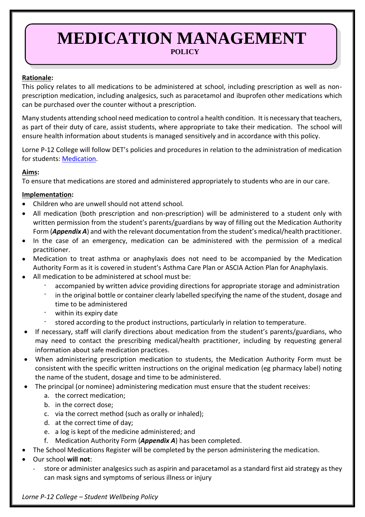## **MEDICATION MANAGEMENT POLICY**

#### **Rationale:**

This policy relates to all medications to be administered at school, including prescription as well as nonprescription medication, including analgesics, such as paracetamol and ibuprofen other medications which can be purchased over the counter without a prescription.

Many students attending school need medication to control a health condition. It is necessary that teachers, as part of their duty of care, assist students, where appropriate to take their medication. The school will ensure health information about students is managed sensitively and in accordance with this policy.

Lorne P-12 College will follow DET's policies and procedures in relation to the administration of medication for students: [Medication.](http://www.education.vic.gov.au/school/principals/spag/health/Pages/medication.aspx)

### **Aims:**

To ensure that medications are stored and administered appropriately to students who are in our care.

#### **Implementation:**

- Children who are unwell should not attend school.
- All medication (both prescription and non-prescription) will be administered to a student only with written permission from the student's parents/guardians by way of filling out the Medication Authority Form (*Appendix A*) and with the relevant documentation from the student's medical/health practitioner.
- In the case of an emergency, medication can be administered with the permission of a medical practitioner.
- Medication to treat asthma or anaphylaxis does not need to be accompanied by the Medication Authority Form as it is covered in student's Asthma Care Plan or ASCIA Action Plan for Anaphylaxis.
- All medication to be administered at school must be:
	- accompanied by written advice providing directions for appropriate storage and administration
	- in the original bottle or container clearly labelled specifying the name of the student, dosage and time to be administered
	- within its expiry date
		- stored according to the product instructions, particularly in relation to temperature.
- If necessary, staff will clarify directions about medication from the student's parents/guardians, who may need to contact the prescribing medical/health practitioner, including by requesting general information about safe medication practices.
- When administering prescription medication to students, the Medication Authority Form must be consistent with the specific written instructions on the original medication (eg pharmacy label) noting the name of the student, dosage and time to be administered.
- The principal (or nominee) administering medication must ensure that the student receives:
	- a. the correct medication;
	- b. in the correct dose;
	- c. via the correct method (such as orally or inhaled);
	- d. at the correct time of day;
	- e. a log is kept of the medicine administered; and
	- f. Medication Authority Form (*Appendix A*) has been completed.
	- The School Medications Register will be completed by the person administering the medication.
- Our school **will not**:
	- store or administer analgesics such as aspirin and paracetamol as a standard first aid strategy as they can mask signs and symptoms of serious illness or injury

*Lorne P-12 College – Student Wellbeing Policy*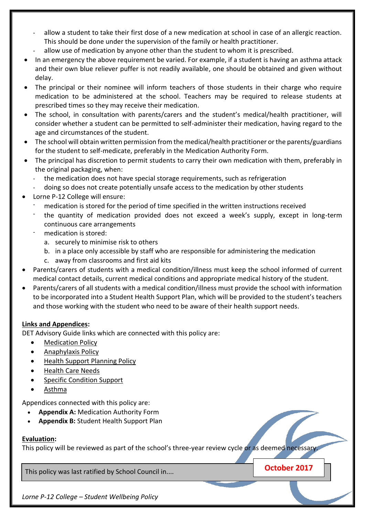- allow a student to take their first dose of a new medication at school in case of an allergic reaction. This should be done under the supervision of the family or health practitioner.
- allow use of medication by anyone other than the student to whom it is prescribed.
- In an emergency the above requirement be varied. For example, if a student is having an asthma attack and their own blue reliever puffer is not readily available, one should be obtained and given without delay.
- The principal or their nominee will inform teachers of those students in their charge who require medication to be administered at the school. Teachers may be required to release students at prescribed times so they may receive their medication.
- The school, in consultation with parents/carers and the student's medical/health practitioner, will consider whether a student can be permitted to self-administer their medication, having regard to the age and circumstances of the student.
- The school will obtain written permission from the medical/health practitioner or the parents/guardians for the student to self-medicate, preferably in the Medication Authority Form.
- The principal has discretion to permit students to carry their own medication with them, preferably in the original packaging, when:
	- the medication does not have special storage requirements, such as refrigeration
	- doing so does not create potentially unsafe access to the medication by other students
- Lorne P-12 College will ensure:
	- medication is stored for the period of time specified in the written instructions received
	- the quantity of medication provided does not exceed a week's supply, except in long-term continuous care arrangements
	- medication is stored:
		- a. securely to minimise risk to others
		- b. in a place only accessible by staff who are responsible for administering the medication
		- c. away from classrooms and first aid kits
- Parents/carers of students with a medical condition/illness must keep the school informed of current medical contact details, current medical conditions and appropriate medical history of the student.
- Parents/carers of all students with a medical condition/illness must provide the school with information to be incorporated into a Student Health Support Plan, which will be provided to the student's teachers and those working with the student who need to be aware of their health support needs.

#### **Links and Appendices:**

DET Advisory Guide links which are connected with this policy are:

- [Medication Policy](http://www.education.vic.gov.au/school/principals/spag/health/pages/medication.aspx)
- [Anaphylaxis Policy](http://www.education.vic.gov.au/school/principals/spag/health/pages/anaphylaxis.aspx)
- [Health Support Planning Policy](http://www.education.vic.gov.au/school/principals/spag/health/Pages/supportplanning.aspx)
- [Health Care Needs](http://www.education.vic.gov.au/school/principals/spag/health/pages/healthcareneeds.aspx)
- [Specific Condition Support](http://www.education.vic.gov.au/school/principals/spag/health/Pages/conditions.aspx)
- [Asthma](http://www.education.vic.gov.au/school/principals/spag/health/pages/conditionasthma.aspx)

Appendices connected with this policy are:

- **Appendix A:** Medication Authority Form
- **Appendix B:** Student Health Support Plan

#### **Evaluation:**

This policy will be reviewed as part of the school's three-year review cycle or as deemed necessary.

This policy was last ratified by School Council in.... **Change 1998 October 2017** 

*Lorne P-12 College – Student Wellbeing Policy*